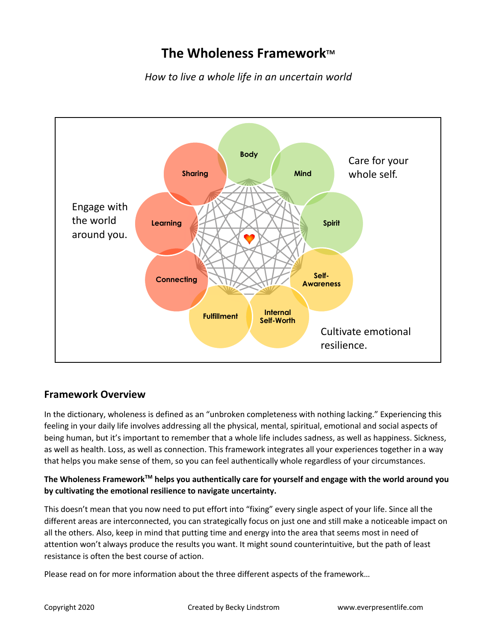# **The Wholeness Framework™**

*How to live a whole life in an uncertain world*



## **Framework Overview**

In the dictionary, wholeness is defined as an "unbroken completeness with nothing lacking." Experiencing this feeling in your daily life involves addressing all the physical, mental, spiritual, emotional and social aspects of being human, but it's important to remember that a whole life includes sadness, as well as happiness. Sickness, as well as health. Loss, as well as connection. This framework integrates all your experiences together in a way that helps you make sense of them, so you can feel authentically whole regardless of your circumstances.

#### **The Wholeness FrameworkTM helps you authentically care for yourself and engage with the world around you by cultivating the emotional resilience to navigate uncertainty.**

This doesn't mean that you now need to put effort into "fixing" every single aspect of your life. Since all the different areas are interconnected, you can strategically focus on just one and still make a noticeable impact on all the others. Also, keep in mind that putting time and energy into the area that seems most in need of attention won't always produce the results you want. It might sound counterintuitive, but the path of least resistance is often the best course of action.

Please read on for more information about the three different aspects of the framework…